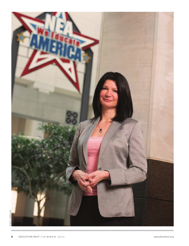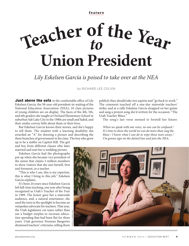**feature**

# **<sup>T</sup>ea<sup>c</sup>he<sup>r</sup> <sup>o</sup><sup>f</sup> <sup>t</sup>h<sup>e</sup> <sup>Y</sup>ea<sup>r</sup>** *to* **Union President**

## *Lily Eskelsen García is poised to take over at the NEA*

by RICHARD LEE COLVIN

**Just above the sofa** in the comfortable office of Lily Eskelsen García, the 58-year-old president-in-waiting of the National Education Association (NEA), 10 class pictures of young children are on display. The faces of the 4th, 5th, and 6th graders she taught at Orchard Elementary School in suburban Salt Lake City in the 1980s are small and faded, and their smiles convey little about them or their lives.

But Eskelsen García knows their stories, and she's happy to tell them. The student with a learning disability she awarded an "A" for drawing a picture and describing the three branches of government to his class. The boy who grew

up to be a staffer on Capitol Hill. The girl and boy from different classes who later married and sent her a wedding picture.

Eskelsen García had the photographs put up when she became vice president of the union that claims 3 million members to show visitors that she sees herself, first and foremost, as a teacher.

"This is who I am, this is my expertise, this is what I bring to this job," Eskelsen García explains.

It's been 24 years since Eskelsen García left full-time teaching, one year after being recognized as Utah's Teacher of the Year in 1989. The honor gave her a statewide audience, and, a natural entertainer, she used the turn in the spotlight to become an outspoken advocate for teachers. That year, the Utah legislature cut taxes rather than  $\frac{1}{2}$ use a budget surplus to increase education spending that had been flat for three years. Utah governor Norman Bangerter dismissed teachers' criticisms, telling them

publicly they should take two aspirin and "go back to work." The comment touched off a one-day statewide teachers' strike, and at a rally Eskelsen García strapped on her guitar and sang a protest song she'd written for the occasion: "The Utah Teacher Blues."

The song's last verse seemed to foretell her future:

*When we speak with one voice, no one can be confused / It's time to show the world we can do more than sing the blues / I know what I can do to wipe those tears away / I'm gonna sign on the dotted line and join the NEA.*

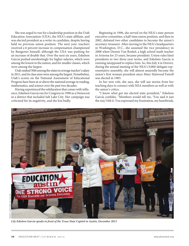She was urged to run for a leadership position in the Utah Education Association (UEA), the NEA's state affiliate, and was elected president as a write-in candidate, despite having held no previous union position. The next year, teachers received a 6 percent increase in compensation championed by Bangerter himself, although the UEA was pushing for an increase of double that. Over the next six years, Eskelsen García pushed unrelentingly for higher salaries, which were among the lowest in the nation, and for smaller classes, which were among the largest.

Utah ranked 50th among the states in average teacher's salary in 2011, and its class sizes were among the largest. Nonetheless, Utah's scores on the National Assessment of Educational Progress have been at or above the national average in reading, mathematics, and science over the past two decades.

Having experienced the exhilaration that comes with influence, Eskelsen García ran for Congress in 1998 as a Democrat in a district that included Salt Lake City. Her campaign was criticized for its negativity, and she lost badly.

Beginning in 1996, she served on the NEA's nine-person executive committee, a half-time union position, and then in 2002, defeated two other candidates to become the union's secretary-treasurer. After moving to the NEA's headquarters in Washington, D.C., she assumed the vice presidency in 2008 when Dennis Van Roekel, a high school math teacher in Arizona for 23 years, became president. Union rules limit presidents to two three-year terms, and Eskelsen García is running unopposed to replace him. So, this July 4 in Denver, during the annual meeting of the NEA's 9,000-delegate representative assembly, she will almost assuredly become the union's first woman president since Mary Hatwood Futrell was elected in 1983.

In her new role, she says, she will use stories from her teaching days to connect with NEA members as well as with the union's critics.

"I know what got me elected state president," Eskelsen García confides. "Members would tell me, 'You said it just the way I felt it. You expressed my frustration, my heartbreak,



*Lily Eskelsen García speaks in front of the Texas State Capitol in Austin, December 2013*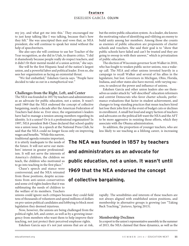#### **feature** ESKELSEN GARCÍA COLVIN

my joy, and what got me into this.' They encouraged me to just keep talking like I was talking, because that's how they felt." She was unscripted then and vows that, as NEA president, she will continue to speak her mind without the help of speechwriters.

She also says she will continue to use her Teacher of the Year recognition, as she did in Utah, to disarm critics. "I did it shamelessly because people really do respect teachers, and it didn't fit their mental model of a union activist," she says.

She will be the first Hispanic head of the nation's largest union, and a powerful labor and political leader. Even so, she sees her organization as facing an existential threat.

"We feel embattled," Eskelsen García says. "People have decided to take us out in a metaphorical war."

#### **Challenges from the Right, Left, and Center**

The NEA was founded in 1857 by teachers and administrators as an advocate for public education, not a union. It wasn't until 1969 that the NEA endorsed the concept of collective bargaining, nearly a decade after the American Federation of Teachers had done so. Ever since, the organization's leaders have had to manage a tension among members regarding its identity. Is it a union? Or is it a professional organization? In 1997, NEA president Bob Chase declared that school quality was a union issue. In a speech at the National Press Club, he said that the NEA could no longer focus only on improving

wages and benefits. "While this narrow, traditional agenda remains important, it is utterly inadequate to the needs of the future. It will not serve our members' interest in greater professionalism. It will not serve the interests of America's children, the children we teach, the children who motivated us to go into teaching in the first place."

Chase's speech and stance were controversial, and the NEA retreated from those positions, despite accusations from anti-union conservatives and some civil rights leaders that it was sublimating the needs of children to the welfare of its members. Teachers

unions could ignore such critiques because they could field tens of thousands of volunteers and spend millions of dollars on pro-union political candidates and lobbying to block most legislation they deemed injurious.

Now, however, the unions are being challenged from the political right, left, and center, as well as by a growing insurgency from members who want them to help improve their teaching, not just protect their perceived employee rights.

Eskelsen García says it's not just unions that are at risk,

but the entire public education system. As a leader, she knows the motivating value of identifying and vilifying an enemy to build unity among her members. Among those she counts as enemies of public education are proponents of charter schools and vouchers. She said their goal is to "show that public schools have failed and can't be trusted and they are going to swoop in with their answer," which is privatization of public education.

The election of Wisconsin governor Scott Walker in 2010, who has fought to weaken public sector unions, was a wakeup call. The NEA and other unions invested heavily in a campaign to recall Walker and several of his allies in the legislature, but lost. Governors in Michigan, Ohio, Florida, Indiana, and other states also have moved, with varying success, to undercut the power and influence of unions.

Eskelsen García and other union leaders also see themselves as under attack by "self-described" education reformers and centrist Democrats who favor charter schools, performance evaluations that factor in student achievement, and changes to long-standing practices that mean teachers hired last lose their jobs first in the event of budget cuts or declines in enrollment. A small but loud and angry faction of teachers and advocates on the political left want the NEA and the AFT to be more aggressive in resisting those efforts, which they associate with the Obama administration.

In addition, the proportion of younger teachers, who are less likely to see teaching as a lifelong career, is increasing

**The NEA was founded in 1857 by teachers and administrators as an advocate for public education, not a union. It wasn't until 1969 that the NEA endorsed the concept of collective bargaining.**

> rapidly. The sensibilities and interests of these teachers are not always aligned with established union positions, and membership in alternative groups is growing (see "Taking Back Teaching," *features*, Spring 2013).

#### **Membership Declines**

In a report to the union's representative assembly in the summer of 2013, the NEA claimed that these dynamics, as well as the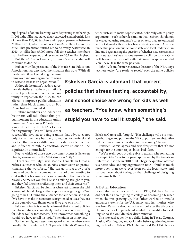rapid spread of online learning, were depressing membership. In 2011, the NEA had stated that it expected a membership loss of more than 300,000 teachers and support personnel between 2010 and 2014, which would result in \$65 million less in revenue. That prediction turned out to be overly pessimistic; in 2013–14 NEA has 65,000 more full-time teacher-members than had been expected and revenues are \$6.1 million higher.

But, the 2013 report warned, the union's membership will continue to decline.

Ruben Murillo, president of the Nevada State Education Association, has described the situation this way: "With all

the defeats, if we keep doing the same thing over and over again, we're going to cease to exist as an organization."

Although the union's leaders agree, they also believe that the organization's current problems represent an opportunity to reposition the NEA to lead efforts to improve public education rather than block them, just as Bob Chase had recommended.

"Future members and education historians will talk about this pivotal moment in the education union movement," says James P. Testerman, senior director of the NEA's Center for Organizing. "We will have either

successfully pivoted to being a union that advocates not only for its members but truly advocates for professional practice that makes a difference for kids…or else the role and influence of public education–sector unions will be significantly diminished."

Key to which of those two outcomes occurs is Eskelsen García, known within the NEA simply as "Lily."

"Teachers love Lily," says Maddie Fennell, an Omaha, Nebraska, teacher who led an NEA commission on professionalizing the workforce. "She can go into a crowd of a thousand people and come out with all of them wanting to chat with her because she is so personable. Even in a large crowd, she makes you feel like she's talking straight to you, and they feel like she's reflecting them and their concerns."

Eskelsen García can be blunt, as when last summer she told a group of liberal bloggers that supporters of gun rights "are going to hell." Urging the audience to take action, she said, "We have to make the senators as frightened of us as they are of the gun lobby…. Shame on us if we give one inch."

Eskelsen García is equally adamant that current policies that stress testing, accountability, and school choice are wrong for kids as well as for teachers. "You know, when something's stupid you have to call it stupid," she said in an interview.

Such unambiguous assertions appeal to her members emotionally. Her counterpart, AFT president Randi Weingarten,

tends instead to make sophisticated, politically astute policy arguments—such as her declaration that teachers should not be evaluated using students' scores on tests that are outdated and not aligned with what teachers are trying to teach. After she made that position public, some state and local leaders fell in line and began raising the question of whether new assessments and new teachers' evaluations were on a collision course. Only in February, many months after Weingarten spoke out, did Van Roekel take the same position.

John Wilson, former executive director of the NEA, says teachers today "are ready to revolt" over the same policies

**Eskelsen García is adamant that current policies that stress testing, accountability, and school choice are wrong for kids as well as teachers. "You know, when something's stupid you have to call it stupid," she said.**

> Eskelsen Garcia calls "stupid." "Her challenge will be to manage that anger and position the NEA to push some substantive redirections around education in this country," he said.

> Eskelsen Garcia agrees and says frequently that it's not enough for the union to just block bad ideas.

> "We're really good at being able to explain why something is a stupid idea," she told a panel sponsored by the American Enterprise Institute in 2010. "But it begs the question of what is a better idea, and my organization now, I think, is much more open than we've ever been on the local, state, and national level about taking on that challenge of designing something better."

#### **A Better Education**

Born Lilia Laura Pace in Texas in 1955, Eskelsen García did not think about going to college or becoming a teacher when she was growing up. Her father worked on missile guidance systems for the U.S. Army, and her mother, who was from Panama, dropped out of school after the 8th grade. Her mother spoke Spanish but wanted her daughter to speak English so she wouldn't face discrimination.

She moved frequently as a child, living in Texas, Georgia, Alaska, Washington, and Colorado, before graduating from high school in Utah in 1973. She married Ruel Eskelsen as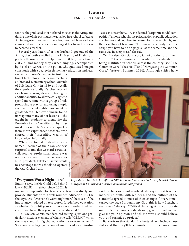#### **feature** ESKELSEN GARCÍA COLVIN

soon as she graduated. Her husband enlisted in the Army, and during one of his postings, she got a job in a school cafeteria. A kindergarten teacher at the school noticed how well she connected with the students and urged her to go to college to become a teacher.

Several years later, after her husband got out of the Army, they both enrolled at the University of Utah, supporting themselves with help from the GI Bill, loans, financial aid, and money they earned singing, accompanied by Eskelsen García on the guitar. She graduated magna cum laude with a degree in elementary education and later

earned a master's degree in instructional technology. She began teaching at Orchard Elementary School outside of Salt Lake City in 1980 and recalls the experience fondly. Teachers worked as a team, sharing ideas and taking on additional duties to allow a colleague to spend more time with a group of kids producing a play or exploring a topic such as the civil rights movement in greater depth. Her love of music found its way into many of her lessons— she taught her students to memorize the Preamble to the Constitution by singing it, for example. She learned quickly from more experienced teachers, who shared their "incredible wealth of knowledge" informally.

When she toured Utah after being named Teacher of the Year, she was surprised to find that Orchard's creative, collaborative, professional culture was noticeably absent in other schools. As NEA president, Eskelsen García wants to encourage more schools to operate the way Orchard did.

#### **"Everyone's Worst Nightmare"**

But, she says, the No Child Left Behind law (NCLB), in effect since 2002, is

making it impossible for teachers to teach creatively and provide students with a well-rounded education. NCLB, she says, was "everyone's worst nightmare" because of the importance it placed on test scores. It redefined education as whether "you hit your cut score on a standardized test and, if you have, then you have been educated."

To Eskelsen García, standardized testing is just one particularly noxious element of what she calls "GERM," which she says stands for "global education reform movement." Speaking to a large gathering of union leaders in Austin, Texas, in December 2013, she decried "corporate model competition" among schools, the privatization of public education via charters and vouchers to be used for private schools, and the deskilling of teaching. "You make everybody read the script; you have to be on page 33 at the same time and the same day in every class," she said.

Yet Eskelsen García is a big fan of another prominent "reform," the common core academic standards now being instituted in schools across the country (see "The Common Core Takes Hold" and "Navigating the Common Core," *features*, Summer 2014). Although critics have



*Lily Eskelsen García in her office at NEA headquarters, with a portrait of Gabriel García Márquez by her husband Alberto García in the background* 

said teachers were not involved, she says expert teachers marked up drafts with red pens, and the authors of the standards agreed to most of their changes. "Every time I turned the page I thought, my God, this is how I teach, it really was," she says. "Critical thinking skills, collaborate on problem solving, create, design, give me evidence of, give me your opinion and tell me why I should believe you, and organize a project."

But she fears that standardized tests will not include those skills and that they'll be eliminated from the curriculum.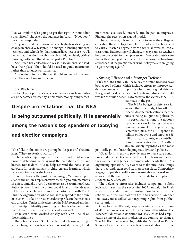"Do we think they're going to get this right without adult supervision?" she asked the audience in Austin. "Noooooo," the crowd responded.

"If you see that there is no change in high-stakes testing; no change in obsessive test prep; no change in labeling students, teachers, and schools by that standardized test score, you'll know that they don't really care about higher-level, critical thinking skills, and that it was all just a PR ploy."

She urged her colleagues to resist. Assessments, she said, have their place. They should be used to guide instruction rather than to judge performance.

"It's up to us to insist they get it right and to call them out when they get it wrong," she said.

#### **Fiery Rhetoric**

Eskelsen García portrays teachers as hardworking heroes who are under attack by wealthy, implacable, money-hungry foes.

## **Despite protestations that the NEA**

## **is being outgunned politically, it is perennially**

## **among the nation's top spenders on lobbying**

## **and election campaigns.**

"The folks in this room are putting battle gear on," she said later. "They are fearless warriors."

The words conjure up the image of an industrial union, proudly defending labor against the predations of distant bosses. But it does little to help rebrand the NEA as an advocate for professionalism, children, and learning, which Eskelsen García says she favors.

To help bolster the professional image, Van Roekel persuaded the union's representative assembly to dun members \$3 apiece annually over 10 years to amass a \$60 million Great Public Schools Fund the union could invest in the ideas of NEA members. He has promoted a partnership with Teach Plus, the organization whose goal is to respond to the desire of teachers to take on broader leadership roles in their schools and districts. Under his leadership, the NEA formed another partnership to identify promising teacher leaders and train them to help their peers become leaders as well.

Eskelsen García worked closely with Van Roekel on those initiatives.

But what Eskelsen García really thinks is needed is systemic change in how teachers are recruited, trained, hired, mentored, evaluated, tenured, and helped to improve. Finland, she says, offers a good model.

There, she says, it is more difficult to enter the college of education than it is to get into law school, and teachers need to earn a master's degree before they're allowed to lead a classroom. But nothing will change, she says, unless teachers become advocates for their profession. "We're absolutely sure that without not just the voices but the actions, the hands-on advocacy that the practitioners bring, policymakers are going to get it wrong again."

#### **A Strong Offense and a Stronger Defense**

Eskelsen García and Van Roekel say the union needs to have both a good offense, which includes efforts to improve student outcomes and support teachers, and a good defense. The goal of the defense is to block state initiatives that would weaken the union as well as to preserve the victories the NEA

has made in the past.

The NEA's budget for defense is far greater than the budget for offense. Indeed, despite protestations that the NEA is being outgunned politically, it is perennially among the nation's top spenders on lobbying and election campaigns. For the year ending September 2013, the NEA spent \$45 million on lobbying and another \$85 million on gifts, grants, and contributions. In most states, the NEA's affiliates are widely regarded as the most

politically potent forces shaping state laws and policies.

"Goal No. 1 is really to play defense to make sure conditions under which teachers teach and kids learn are the best they can be," says James Testerman, who heads the NEA's organizing operation. "We want to make sure those things that attract and retain good teachers are in place. Competitive wages, competitive health care, a reasonable workload and… advocate at the same time for what needs to be in place for students to be successful."

The defensive effort also includes campaigns to fight legislation, such as the successful 2007 campaign in Utah to overturn a state law promoting vouchers for online schools, and the campaign in Ohio to reverse a law that took away most collective-bargaining rights from publicsector unions.

One place the NEA lost, despite forming a broad coalition of allies, was in Wisconsin. The defeat forced the Milwaukee Teachers' Education Association (MTEA), which had a reputation as one of the most radical in the country, to change. The MTEA is now working with the Milwaukee Public Schools to implement a new teacher-evaluation process,